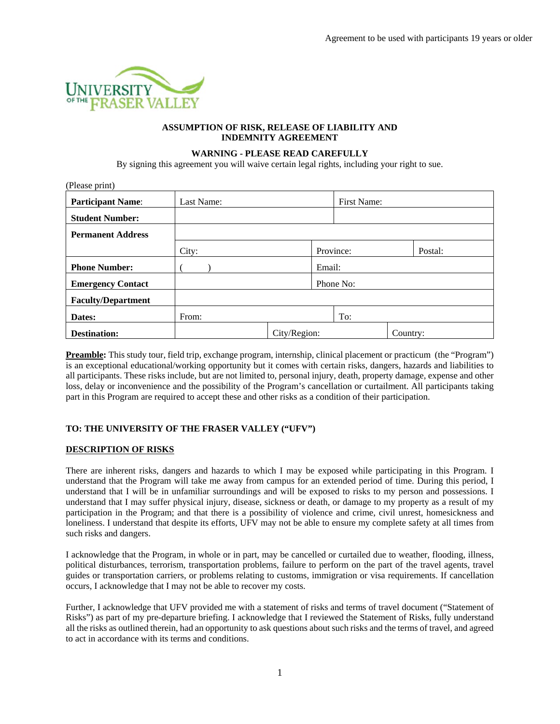

## **ASSUMPTION OF RISK, RELEASE OF LIABILITY AND INDEMNITY AGREEMENT**

#### **WARNING - PLEASE READ CAREFULLY**

By signing this agreement you will waive certain legal rights, including your right to sue.

| (Please print)            |            |              |        |             |          |         |  |
|---------------------------|------------|--------------|--------|-------------|----------|---------|--|
| <b>Participant Name:</b>  | Last Name: |              |        | First Name: |          |         |  |
| <b>Student Number:</b>    |            |              |        |             |          |         |  |
| <b>Permanent Address</b>  |            |              |        |             |          |         |  |
|                           | City:      |              |        | Province:   |          | Postal: |  |
| <b>Phone Number:</b>      |            |              | Email: |             |          |         |  |
| <b>Emergency Contact</b>  |            |              |        | Phone No:   |          |         |  |
| <b>Faculty/Department</b> |            |              |        |             |          |         |  |
| Dates:                    | From:      |              |        | To:         |          |         |  |
| <b>Destination:</b>       |            | City/Region: |        |             | Country: |         |  |

**Preamble:** This study tour, field trip, exchange program, internship, clinical placement or practicum (the "Program") is an exceptional educational/working opportunity but it comes with certain risks, dangers, hazards and liabilities to all participants. These risks include, but are not limited to, personal injury, death, property damage, expense and other loss, delay or inconvenience and the possibility of the Program's cancellation or curtailment. All participants taking part in this Program are required to accept these and other risks as a condition of their participation.

# **TO: THE UNIVERSITY OF THE FRASER VALLEY ("UFV")**

# **DESCRIPTION OF RISKS**

There are inherent risks, dangers and hazards to which I may be exposed while participating in this Program. I understand that the Program will take me away from campus for an extended period of time. During this period, I understand that I will be in unfamiliar surroundings and will be exposed to risks to my person and possessions. I understand that I may suffer physical injury, disease, sickness or death, or damage to my property as a result of my participation in the Program; and that there is a possibility of violence and crime, civil unrest, homesickness and loneliness. I understand that despite its efforts, UFV may not be able to ensure my complete safety at all times from such risks and dangers.

I acknowledge that the Program, in whole or in part, may be cancelled or curtailed due to weather, flooding, illness, political disturbances, terrorism, transportation problems, failure to perform on the part of the travel agents, travel guides or transportation carriers, or problems relating to customs, immigration or visa requirements. If cancellation occurs, I acknowledge that I may not be able to recover my costs.

Further, I acknowledge that UFV provided me with a statement of risks and terms of travel document ("Statement of Risks") as part of my pre-departure briefing. I acknowledge that I reviewed the Statement of Risks, fully understand all the risks as outlined therein, had an opportunity to ask questions about such risks and the terms of travel, and agreed to act in accordance with its terms and conditions.